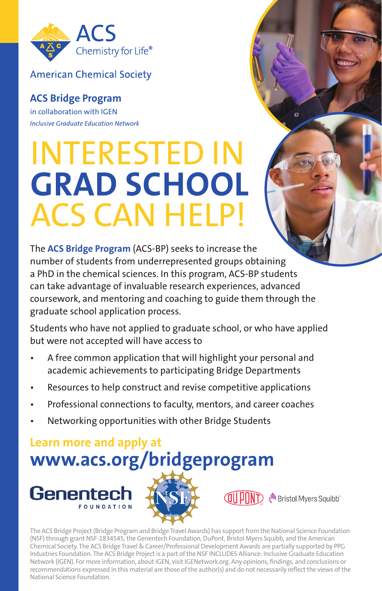

**American Chemical Society** 

**ACS Bridge Program** in collaboration with IGEN *Inclusive Graduate Education Network*

## INTERESTED IN **GRAD SCHOOL**  ACS CAN HELP!

The **ACS Bridge Program** (ACS-BP) seeks to increase the number of students from underrepresented groups obtaining a PhD in the chemical sciences. In this program, ACS-BP students can take advantage of invaluable research experiences, advanced coursework, and mentoring and coaching to guide them through the graduate school application process.

Students who have not applied to graduate school, or who have applied but were not accepted will have access to

- A free common application that will highlight your personal and academic achievements to participating Bridge Departments
- Resources to help construct and revise competitive applications
- Professional connections to faculty, mentors, and career coaches
- Networking opportunities with other Bridge Students

**Learn more and apply at www.acs.org/bridgeprogram** 





U<sup>ll</sup>l Bristol Myers Squibb"

 $\alpha$ 

The ACS Bridge Project (Bridge Program and Bridge Travel Awards) has support from the National Science Foundation (NSF) through grant NSF-1834545, the Genentech Foundation, DuPont, Bristol Myers Squibb, and the American Chemical Society. The ACS Bridge Travel & Career/Professional Development Awards are partially supported by PPG Industries Foundation. The ACS Bridge Project is a part of the NSF INCLUDES Alliance: Inclusive Graduate Education Network (IGEN). For more information, about IGEN, visit IGENetwork.org. Any opinions, findings, and conclusions or recommendations expressed in this material are those of the author(s) and do not necessarily reflect the views of the National Science Foundation.